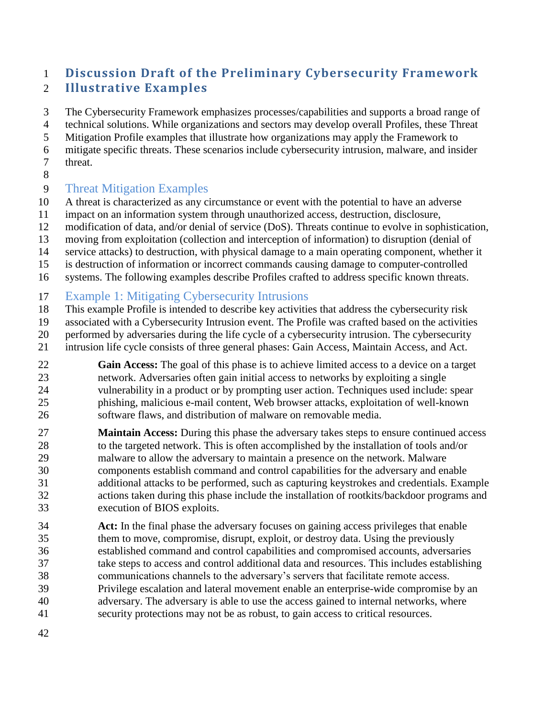# **Discussion Draft of the Preliminary Cybersecurity Framework Illustrative Examples**

 The Cybersecurity Framework emphasizes processes/capabilities and supports a broad range of technical solutions. While organizations and sectors may develop overall Profiles, these Threat Mitigation Profile examples that illustrate how organizations may apply the Framework to mitigate specific threats. These scenarios include cybersecurity intrusion, malware, and insider threat.

## Threat Mitigation Examples

- A threat is characterized as any circumstance or event with the potential to have an adverse
- impact on an information system through unauthorized access, destruction, disclosure,
- modification of data, and/or denial of service (DoS). Threats continue to evolve in sophistication,
- moving from exploitation (collection and interception of information) to disruption (denial of
- service attacks) to destruction, with physical damage to a main operating component, whether it
- is destruction of information or incorrect commands causing damage to computer-controlled
- systems. The following examples describe Profiles crafted to address specific known threats.
- Example 1: Mitigating Cybersecurity Intrusions
- This example Profile is intended to describe key activities that address the cybersecurity risk
- associated with a Cybersecurity Intrusion event. The Profile was crafted based on the activities
- performed by adversaries during the life cycle of a cybersecurity intrusion. The cybersecurity
- intrusion life cycle consists of three general phases: Gain Access, Maintain Access, and Act.
- **Gain Access:** The goal of this phase is to achieve limited access to a device on a target network. Adversaries often gain initial access to networks by exploiting a single vulnerability in a product or by prompting user action. Techniques used include: spear phishing, malicious e-mail content, Web browser attacks, exploitation of well-known software flaws, and distribution of malware on removable media.
- **Maintain Access:** During this phase the adversary takes steps to ensure continued access 28 to the targeted network. This is often accomplished by the installation of tools and/or malware to allow the adversary to maintain a presence on the network. Malware components establish command and control capabilities for the adversary and enable additional attacks to be performed, such as capturing keystrokes and credentials. Example actions taken during this phase include the installation of rootkits/backdoor programs and execution of BIOS exploits.
- **Act:** In the final phase the adversary focuses on gaining access privileges that enable them to move, compromise, disrupt, exploit, or destroy data. Using the previously established command and control capabilities and compromised accounts, adversaries take steps to access and control additional data and resources. This includes establishing communications channels to the adversary's servers that facilitate remote access. Privilege escalation and lateral movement enable an enterprise-wide compromise by an adversary. The adversary is able to use the access gained to internal networks, where security protections may not be as robust, to gain access to critical resources.
-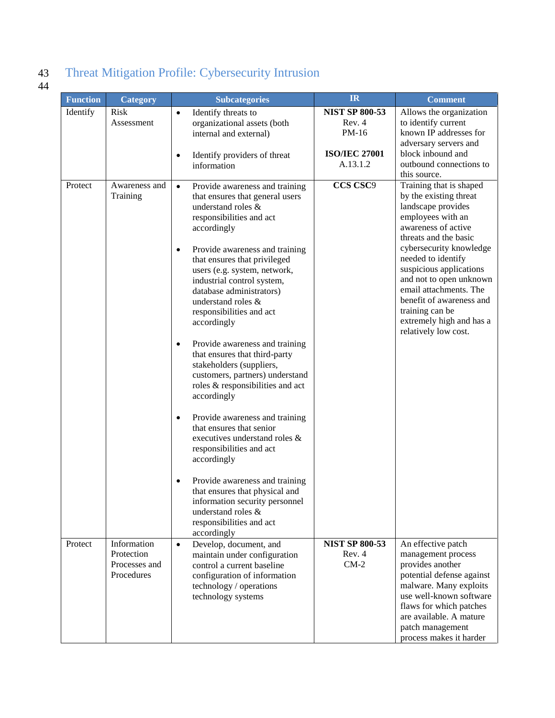# 43 Threat Mitigation Profile: Cybersecurity Intrusion 43<br>44

| <b>Function</b> | Category                                  | <b>Subcategories</b>                                                                                                                                                                                                                                                                                                                                                                                                                                                                                                                                                                                                                                                                                                                                                                                                                                                           | IR                    | <b>Comment</b>                                                                                                                                                                                                                                                                                                                                                                                   |
|-----------------|-------------------------------------------|--------------------------------------------------------------------------------------------------------------------------------------------------------------------------------------------------------------------------------------------------------------------------------------------------------------------------------------------------------------------------------------------------------------------------------------------------------------------------------------------------------------------------------------------------------------------------------------------------------------------------------------------------------------------------------------------------------------------------------------------------------------------------------------------------------------------------------------------------------------------------------|-----------------------|--------------------------------------------------------------------------------------------------------------------------------------------------------------------------------------------------------------------------------------------------------------------------------------------------------------------------------------------------------------------------------------------------|
| Identify        | <b>Risk</b>                               | Identify threats to<br>$\bullet$                                                                                                                                                                                                                                                                                                                                                                                                                                                                                                                                                                                                                                                                                                                                                                                                                                               | <b>NIST SP 800-53</b> | Allows the organization                                                                                                                                                                                                                                                                                                                                                                          |
|                 | Assessment                                | organizational assets (both<br>internal and external)                                                                                                                                                                                                                                                                                                                                                                                                                                                                                                                                                                                                                                                                                                                                                                                                                          | Rev. 4<br>PM-16       | to identify current<br>known IP addresses for                                                                                                                                                                                                                                                                                                                                                    |
|                 |                                           |                                                                                                                                                                                                                                                                                                                                                                                                                                                                                                                                                                                                                                                                                                                                                                                                                                                                                |                       | adversary servers and                                                                                                                                                                                                                                                                                                                                                                            |
|                 |                                           | Identify providers of threat<br>$\bullet$                                                                                                                                                                                                                                                                                                                                                                                                                                                                                                                                                                                                                                                                                                                                                                                                                                      | <b>ISO/IEC 27001</b>  | block inbound and                                                                                                                                                                                                                                                                                                                                                                                |
|                 |                                           | information                                                                                                                                                                                                                                                                                                                                                                                                                                                                                                                                                                                                                                                                                                                                                                                                                                                                    | A.13.1.2              | outbound connections to                                                                                                                                                                                                                                                                                                                                                                          |
| Protect         | Awareness and<br>Training                 | Provide awareness and training<br>$\bullet$<br>that ensures that general users<br>understand roles &<br>responsibilities and act<br>accordingly<br>Provide awareness and training<br>$\bullet$<br>that ensures that privileged<br>users (e.g. system, network,<br>industrial control system,<br>database administrators)<br>understand roles &<br>responsibilities and act<br>accordingly<br>Provide awareness and training<br>$\bullet$<br>that ensures that third-party<br>stakeholders (suppliers,<br>customers, partners) understand<br>roles & responsibilities and act<br>accordingly<br>Provide awareness and training<br>$\bullet$<br>that ensures that senior<br>executives understand roles &<br>responsibilities and act<br>accordingly<br>Provide awareness and training<br>that ensures that physical and<br>information security personnel<br>understand roles & | CCS CSC9              | this source.<br>Training that is shaped<br>by the existing threat<br>landscape provides<br>employees with an<br>awareness of active<br>threats and the basic<br>cybersecurity knowledge<br>needed to identify<br>suspicious applications<br>and not to open unknown<br>email attachments. The<br>benefit of awareness and<br>training can be<br>extremely high and has a<br>relatively low cost. |
|                 |                                           | responsibilities and act                                                                                                                                                                                                                                                                                                                                                                                                                                                                                                                                                                                                                                                                                                                                                                                                                                                       |                       |                                                                                                                                                                                                                                                                                                                                                                                                  |
| Protect         | Information                               | accordingly<br>Develop, document, and<br>$\bullet$                                                                                                                                                                                                                                                                                                                                                                                                                                                                                                                                                                                                                                                                                                                                                                                                                             | <b>NIST SP 800-53</b> | An effective patch                                                                                                                                                                                                                                                                                                                                                                               |
|                 | Protection<br>Processes and<br>Procedures | maintain under configuration<br>control a current baseline<br>configuration of information<br>technology / operations<br>technology systems                                                                                                                                                                                                                                                                                                                                                                                                                                                                                                                                                                                                                                                                                                                                    | Rev. 4<br>$CM-2$      | management process<br>provides another<br>potential defense against<br>malware. Many exploits<br>use well-known software<br>flaws for which patches<br>are available. A mature<br>patch management<br>process makes it harder                                                                                                                                                                    |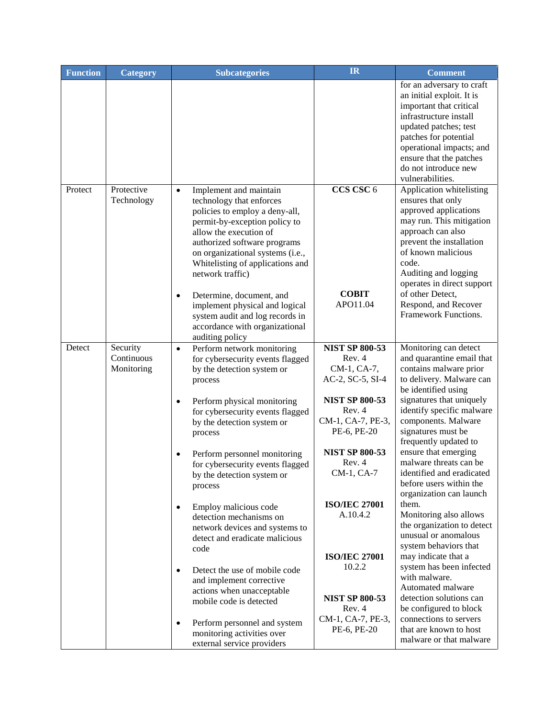| <b>Function</b> | <b>Category</b>                      | <b>Subcategories</b>                                                                                                                                                                                                                                                                                                                                                | <b>IR</b>                                                           | <b>Comment</b>                                                                                                                                                                                                                                                                       |
|-----------------|--------------------------------------|---------------------------------------------------------------------------------------------------------------------------------------------------------------------------------------------------------------------------------------------------------------------------------------------------------------------------------------------------------------------|---------------------------------------------------------------------|--------------------------------------------------------------------------------------------------------------------------------------------------------------------------------------------------------------------------------------------------------------------------------------|
|                 |                                      |                                                                                                                                                                                                                                                                                                                                                                     |                                                                     | for an adversary to craft<br>an initial exploit. It is<br>important that critical<br>infrastructure install<br>updated patches; test<br>patches for potential<br>operational impacts; and<br>ensure that the patches<br>do not introduce new<br>vulnerabilities.                     |
| Protect         | Protective<br>Technology             | Implement and maintain<br>$\bullet$<br>technology that enforces<br>policies to employ a deny-all,<br>permit-by-exception policy to<br>allow the execution of<br>authorized software programs<br>on organizational systems (i.e.,<br>Whitelisting of applications and<br>network traffic)<br>Determine, document, and<br>$\bullet$<br>implement physical and logical | CCS CSC 6<br><b>COBIT</b><br>APO11.04                               | Application whitelisting<br>ensures that only<br>approved applications<br>may run. This mitigation<br>approach can also<br>prevent the installation<br>of known malicious<br>code.<br>Auditing and logging<br>operates in direct support<br>of other Detect,<br>Respond, and Recover |
|                 |                                      | system audit and log records in<br>accordance with organizational<br>auditing policy                                                                                                                                                                                                                                                                                |                                                                     | Framework Functions.                                                                                                                                                                                                                                                                 |
| Detect          | Security<br>Continuous<br>Monitoring | Perform network monitoring<br>$\bullet$<br>for cybersecurity events flagged<br>by the detection system or<br>process                                                                                                                                                                                                                                                | <b>NIST SP 800-53</b><br>Rev. 4<br>CM-1, CA-7,<br>AC-2, SC-5, SI-4  | Monitoring can detect<br>and quarantine email that<br>contains malware prior<br>to delivery. Malware can<br>be identified using                                                                                                                                                      |
|                 |                                      | Perform physical monitoring<br>٠<br>for cybersecurity events flagged<br>by the detection system or<br>process                                                                                                                                                                                                                                                       | <b>NIST SP 800-53</b><br>Rev. 4<br>CM-1, CA-7, PE-3,<br>PE-6, PE-20 | signatures that uniquely<br>identify specific malware<br>components. Malware<br>signatures must be<br>frequently updated to                                                                                                                                                          |
|                 |                                      | Perform personnel monitoring<br>$\bullet$<br>for cybersecurity events flagged<br>by the detection system or<br>process                                                                                                                                                                                                                                              | <b>NIST SP 800-53</b><br>Rev. 4<br>CM-1, CA-7                       | ensure that emerging<br>malware threats can be<br>identified and eradicated<br>before users within the<br>organization can launch                                                                                                                                                    |
|                 |                                      | Employ malicious code<br>$\bullet$<br>detection mechanisms on<br>network devices and systems to<br>detect and eradicate malicious<br>code                                                                                                                                                                                                                           | <b>ISO/IEC 27001</b><br>A.10.4.2<br><b>ISO/IEC 27001</b>            | them.<br>Monitoring also allows<br>the organization to detect<br>unusual or anomalous<br>system behaviors that<br>may indicate that a                                                                                                                                                |
|                 |                                      | Detect the use of mobile code<br>$\bullet$<br>and implement corrective<br>actions when unacceptable<br>mobile code is detected                                                                                                                                                                                                                                      | 10.2.2<br><b>NIST SP 800-53</b><br>Rev. 4                           | system has been infected<br>with malware.<br>Automated malware<br>detection solutions can<br>be configured to block                                                                                                                                                                  |
|                 |                                      | Perform personnel and system<br>$\bullet$<br>monitoring activities over<br>external service providers                                                                                                                                                                                                                                                               | CM-1, CA-7, PE-3,<br>PE-6, PE-20                                    | connections to servers<br>that are known to host<br>malware or that malware                                                                                                                                                                                                          |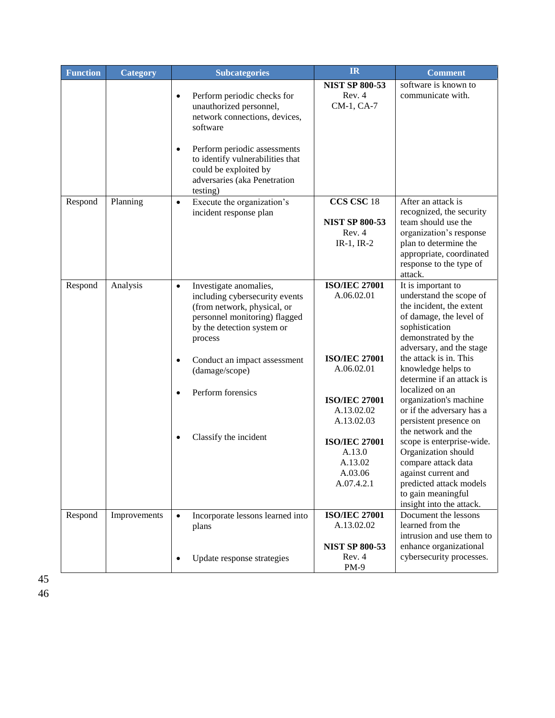| <b>Function</b> | <b>Category</b> | <b>Subcategories</b>                                                                                                                                                           | IR                                                                 | <b>Comment</b>                                                                                                                                                                              |
|-----------------|-----------------|--------------------------------------------------------------------------------------------------------------------------------------------------------------------------------|--------------------------------------------------------------------|---------------------------------------------------------------------------------------------------------------------------------------------------------------------------------------------|
|                 |                 | Perform periodic checks for<br>$\bullet$<br>unauthorized personnel,<br>network connections, devices,<br>software<br>Perform periodic assessments<br>$\bullet$                  | <b>NIST SP 800-53</b><br>Rev. 4<br>CM-1, CA-7                      | software is known to<br>communicate with.                                                                                                                                                   |
|                 |                 | to identify vulnerabilities that<br>could be exploited by<br>adversaries (aka Penetration<br>testing)                                                                          |                                                                    |                                                                                                                                                                                             |
| Respond         | Planning        | Execute the organization's<br>$\bullet$<br>incident response plan                                                                                                              | CCS CSC 18<br><b>NIST SP 800-53</b><br>Rev. 4<br>$IR-1, IR-2$      | After an attack is<br>recognized, the security<br>team should use the<br>organization's response<br>plan to determine the<br>appropriate, coordinated<br>response to the type of<br>attack. |
| Respond         | Analysis        | Investigate anomalies,<br>$\bullet$<br>including cybersecurity events<br>(from network, physical, or<br>personnel monitoring) flagged<br>by the detection system or<br>process | <b>ISO/IEC 27001</b><br>A.06.02.01                                 | It is important to<br>understand the scope of<br>the incident, the extent<br>of damage, the level of<br>sophistication<br>demonstrated by the<br>adversary, and the stage                   |
|                 |                 | Conduct an impact assessment<br>$\bullet$<br>(damage/scope)<br>Perform forensics                                                                                               | <b>ISO/IEC 27001</b><br>A.06.02.01                                 | the attack is in. This<br>knowledge helps to<br>determine if an attack is<br>localized on an                                                                                                |
|                 |                 | $\bullet$                                                                                                                                                                      | <b>ISO/IEC 27001</b><br>A.13.02.02<br>A.13.02.03                   | organization's machine<br>or if the adversary has a<br>persistent presence on<br>the network and the                                                                                        |
|                 |                 | Classify the incident<br>$\bullet$                                                                                                                                             | <b>ISO/IEC 27001</b><br>A.13.0<br>A.13.02<br>A.03.06<br>A.07.4.2.1 | scope is enterprise-wide.<br>Organization should<br>compare attack data<br>against current and<br>predicted attack models<br>to gain meaningful<br>insight into the attack.                 |
| Respond         | Improvements    | $\bullet$<br>Incorporate lessons learned into<br>plans                                                                                                                         | <b>ISO/IEC 27001</b><br>A.13.02.02<br><b>NIST SP 800-53</b>        | Document the lessons<br>learned from the<br>intrusion and use them to<br>enhance organizational                                                                                             |
|                 |                 | Update response strategies<br>$\bullet$                                                                                                                                        | Rev. 4<br>$PM-9$                                                   | cybersecurity processes.                                                                                                                                                                    |

45 46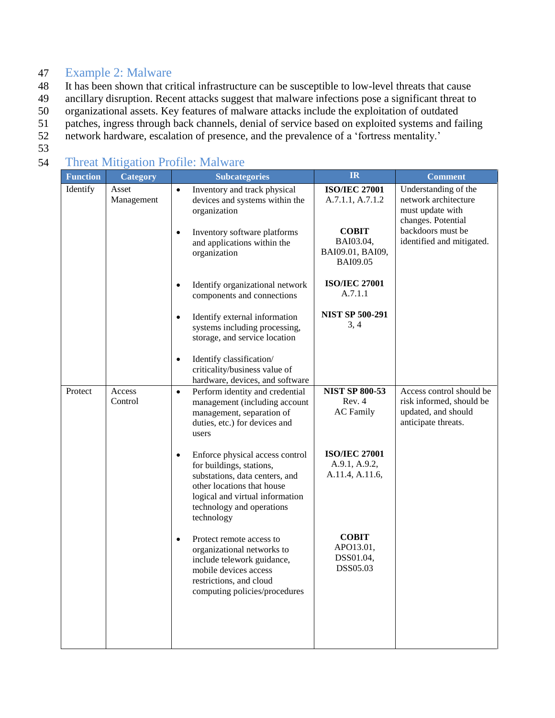### 47 Example 2: Malware

48 It has been shown that critical infrastructure can be susceptible to low-level threats that cause

- 49 ancillary disruption. Recent attacks suggest that malware infections pose a significant threat to
- 50 organizational assets. Key features of malware attacks include the exploitation of outdated
- 51 patches, ingress through back channels, denial of service based on exploited systems and failing
- 52 network hardware, escalation of presence, and the prevalence of a 'fortress mentality.'
- 53

## 54 Threat Mitigation Profile: Malware

| <b>Function</b> | Category            | <b>Subcategories</b>                                                                                                                                                                                                   | <b>IR</b>                                                        | <b>Comment</b>                                                                                     |
|-----------------|---------------------|------------------------------------------------------------------------------------------------------------------------------------------------------------------------------------------------------------------------|------------------------------------------------------------------|----------------------------------------------------------------------------------------------------|
| Identify        | Asset<br>Management | Inventory and track physical<br>$\bullet$<br>devices and systems within the<br>organization                                                                                                                            | <b>ISO/IEC 27001</b><br>A.7.1.1, A.7.1.2                         | Understanding of the<br>network architecture<br>must update with<br>changes. Potential             |
|                 |                     | Inventory software platforms<br>$\bullet$<br>and applications within the<br>organization                                                                                                                               | <b>COBIT</b><br>BAI03.04,<br>BAI09.01, BAI09,<br><b>BAI09.05</b> | backdoors must be<br>identified and mitigated.                                                     |
|                 |                     | Identify organizational network<br>$\bullet$<br>components and connections                                                                                                                                             | <b>ISO/IEC 27001</b><br>A.7.1.1                                  |                                                                                                    |
|                 |                     | Identify external information<br>$\bullet$<br>systems including processing,<br>storage, and service location                                                                                                           | <b>NIST SP 500-291</b><br>3, 4                                   |                                                                                                    |
|                 |                     | Identify classification/<br>$\bullet$<br>criticality/business value of<br>hardware, devices, and software                                                                                                              |                                                                  |                                                                                                    |
| Protect         | Access<br>Control   | Perform identity and credential<br>$\bullet$<br>management (including account<br>management, separation of<br>duties, etc.) for devices and<br>users                                                                   | <b>NIST SP 800-53</b><br>Rev. 4<br><b>AC</b> Family              | Access control should be<br>risk informed, should be<br>updated, and should<br>anticipate threats. |
|                 |                     | Enforce physical access control<br>$\bullet$<br>for buildings, stations,<br>substations, data centers, and<br>other locations that house<br>logical and virtual information<br>technology and operations<br>technology | <b>ISO/IEC 27001</b><br>A.9.1, A.9.2,<br>A.11.4, A.11.6,         |                                                                                                    |
|                 |                     | Protect remote access to<br>$\bullet$<br>organizational networks to<br>include telework guidance,<br>mobile devices access<br>restrictions, and cloud<br>computing policies/procedures                                 | <b>COBIT</b><br>APO13.01,<br>DSS01.04,<br>DSS05.03               |                                                                                                    |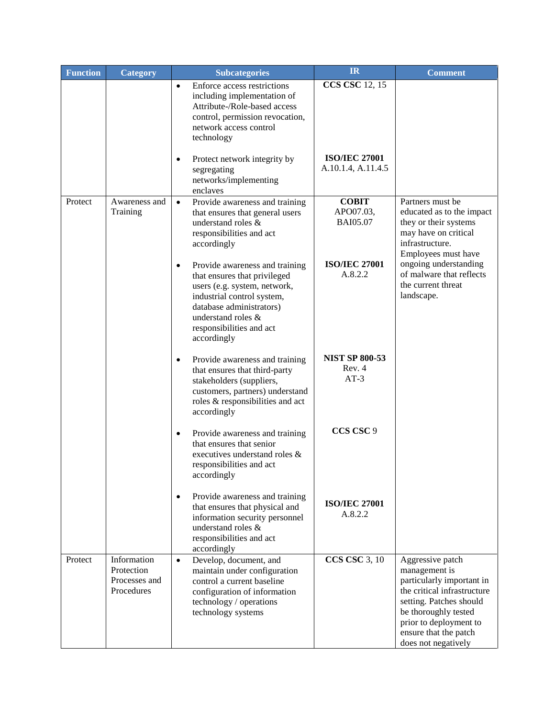| <b>Function</b> | Category                                                 | <b>Subcategories</b>                                                                                                                                                                                                           | <b>IR</b>                                    | <b>Comment</b>                                                                                                                                                                                                             |
|-----------------|----------------------------------------------------------|--------------------------------------------------------------------------------------------------------------------------------------------------------------------------------------------------------------------------------|----------------------------------------------|----------------------------------------------------------------------------------------------------------------------------------------------------------------------------------------------------------------------------|
|                 |                                                          | Enforce access restrictions<br>$\bullet$<br>including implementation of<br>Attribute-/Role-based access<br>control, permission revocation,<br>network access control<br>technology                                             | <b>CCS CSC 12, 15</b>                        |                                                                                                                                                                                                                            |
|                 |                                                          | Protect network integrity by<br>٠<br>segregating<br>networks/implementing<br>enclaves                                                                                                                                          | <b>ISO/IEC 27001</b><br>A.10.1.4, A.11.4.5   |                                                                                                                                                                                                                            |
| Protect         | Awareness and<br>Training                                | $\bullet$<br>Provide awareness and training<br>that ensures that general users<br>understand roles &<br>responsibilities and act<br>accordingly                                                                                | <b>COBIT</b><br>APO07.03,<br><b>BAI05.07</b> | Partners must be<br>educated as to the impact<br>they or their systems<br>may have on critical<br>infrastructure.<br>Employees must have                                                                                   |
|                 |                                                          | Provide awareness and training<br>٠<br>that ensures that privileged<br>users (e.g. system, network,<br>industrial control system,<br>database administrators)<br>understand roles &<br>responsibilities and act<br>accordingly | <b>ISO/IEC 27001</b><br>A.8.2.2              | ongoing understanding<br>of malware that reflects<br>the current threat<br>landscape.                                                                                                                                      |
|                 |                                                          | Provide awareness and training<br>$\bullet$<br>that ensures that third-party<br>stakeholders (suppliers,<br>customers, partners) understand<br>roles & responsibilities and act<br>accordingly                                 | <b>NIST SP 800-53</b><br>Rev. 4<br>$AT-3$    |                                                                                                                                                                                                                            |
|                 |                                                          | Provide awareness and training<br>٠<br>that ensures that senior<br>executives understand roles &<br>responsibilities and act<br>accordingly                                                                                    | CCS CSC 9                                    |                                                                                                                                                                                                                            |
|                 |                                                          | Provide awareness and training<br>$\bullet$<br>that ensures that physical and<br>information security personnel<br>understand roles &<br>responsibilities and act<br>accordingly                                               | <b>ISO/IEC 27001</b><br>A.8.2.2              |                                                                                                                                                                                                                            |
| Protect         | Information<br>Protection<br>Processes and<br>Procedures | Develop, document, and<br>$\bullet$<br>maintain under configuration<br>control a current baseline<br>configuration of information<br>technology / operations<br>technology systems                                             | <b>CCS CSC 3, 10</b>                         | Aggressive patch<br>management is<br>particularly important in<br>the critical infrastructure<br>setting. Patches should<br>be thoroughly tested<br>prior to deployment to<br>ensure that the patch<br>does not negatively |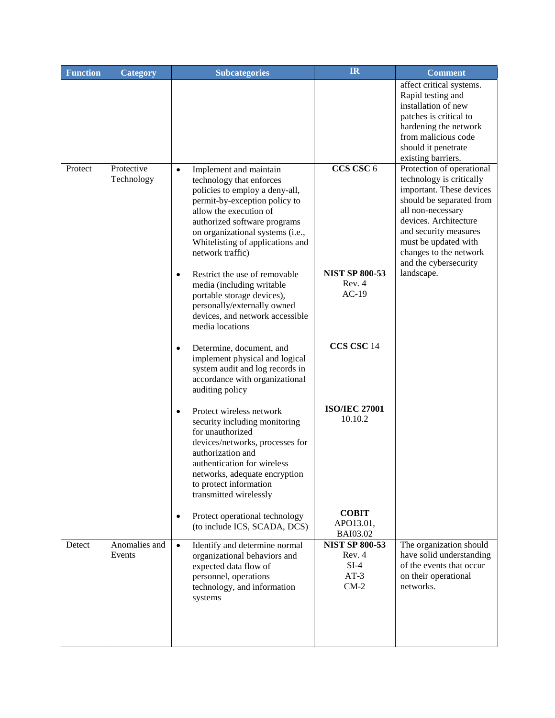| <b>Function</b> | <b>Category</b>          | <b>Subcategories</b>                                                                                                                                                                                                                                                                     | <b>IR</b>                                                     | <b>Comment</b>                                                                                                                                                                                                                                                  |
|-----------------|--------------------------|------------------------------------------------------------------------------------------------------------------------------------------------------------------------------------------------------------------------------------------------------------------------------------------|---------------------------------------------------------------|-----------------------------------------------------------------------------------------------------------------------------------------------------------------------------------------------------------------------------------------------------------------|
|                 |                          |                                                                                                                                                                                                                                                                                          |                                                               | affect critical systems.<br>Rapid testing and<br>installation of new<br>patches is critical to<br>hardening the network<br>from malicious code<br>should it penetrate<br>existing barriers.                                                                     |
| Protect         | Protective<br>Technology | Implement and maintain<br>$\bullet$<br>technology that enforces<br>policies to employ a deny-all,<br>permit-by-exception policy to<br>allow the execution of<br>authorized software programs<br>on organizational systems (i.e.,<br>Whitelisting of applications and<br>network traffic) | CCS CSC 6                                                     | Protection of operational<br>technology is critically<br>important. These devices<br>should be separated from<br>all non-necessary<br>devices. Architecture<br>and security measures<br>must be updated with<br>changes to the network<br>and the cybersecurity |
|                 |                          | Restrict the use of removable<br>$\bullet$<br>media (including writable<br>portable storage devices),<br>personally/externally owned<br>devices, and network accessible<br>media locations                                                                                               | <b>NIST SP 800-53</b><br>Rev. 4<br>$AC-19$                    | landscape.                                                                                                                                                                                                                                                      |
|                 |                          | Determine, document, and<br>٠<br>implement physical and logical<br>system audit and log records in<br>accordance with organizational<br>auditing policy                                                                                                                                  | CCS CSC 14                                                    |                                                                                                                                                                                                                                                                 |
|                 |                          | Protect wireless network<br>$\bullet$<br>security including monitoring<br>for unauthorized<br>devices/networks, processes for<br>authorization and<br>authentication for wireless<br>networks, adequate encryption<br>to protect information<br>transmitted wirelessly                   | <b>ISO/IEC 27001</b><br>10.10.2                               |                                                                                                                                                                                                                                                                 |
|                 |                          | Protect operational technology<br>٠<br>(to include ICS, SCADA, DCS)                                                                                                                                                                                                                      | <b>COBIT</b><br>APO13.01,<br>BAI03.02                         |                                                                                                                                                                                                                                                                 |
| Detect          | Anomalies and<br>Events  | Identify and determine normal<br>$\bullet$<br>organizational behaviors and<br>expected data flow of<br>personnel, operations<br>technology, and information<br>systems                                                                                                                   | <b>NIST SP 800-53</b><br>Rev. 4<br>$SI-4$<br>$AT-3$<br>$CM-2$ | The organization should<br>have solid understanding<br>of the events that occur<br>on their operational<br>networks.                                                                                                                                            |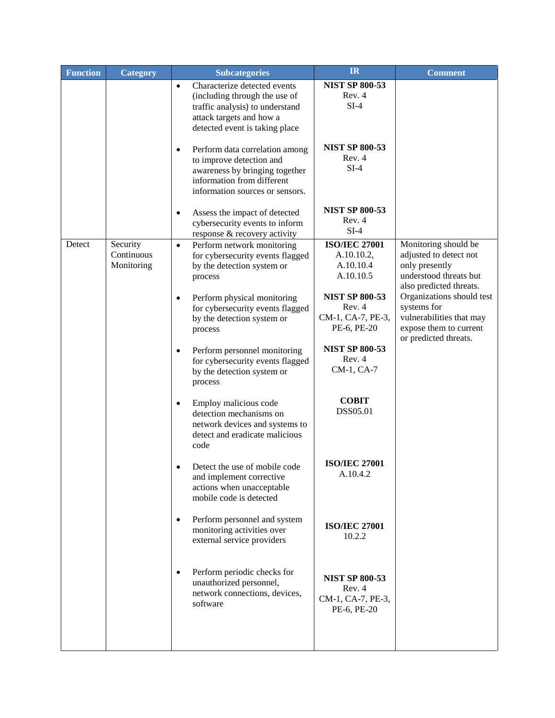| <b>Function</b> | <b>Category</b>                      | <b>Subcategories</b>                                                                                                                                                       | IR                                                                  | <b>Comment</b>                                                                                                          |
|-----------------|--------------------------------------|----------------------------------------------------------------------------------------------------------------------------------------------------------------------------|---------------------------------------------------------------------|-------------------------------------------------------------------------------------------------------------------------|
|                 |                                      | Characterize detected events<br>$\bullet$<br>(including through the use of<br>traffic analysis) to understand                                                              | <b>NIST SP 800-53</b><br>Rev. 4<br>$SI-4$                           |                                                                                                                         |
|                 |                                      | attack targets and how a<br>detected event is taking place                                                                                                                 |                                                                     |                                                                                                                         |
|                 |                                      | Perform data correlation among<br>$\bullet$<br>to improve detection and<br>awareness by bringing together<br>information from different<br>information sources or sensors. | <b>NIST SP 800-53</b><br>Rev. 4<br>$SI-4$                           |                                                                                                                         |
|                 |                                      | Assess the impact of detected<br>$\bullet$<br>cybersecurity events to inform<br>response & recovery activity                                                               | <b>NIST SP 800-53</b><br>Rev. 4<br>$SI-4$                           |                                                                                                                         |
| Detect          | Security<br>Continuous<br>Monitoring | Perform network monitoring<br>$\bullet$<br>for cybersecurity events flagged<br>by the detection system or<br>process                                                       | <b>ISO/IEC 27001</b><br>A.10.10.2,<br>A.10.10.4<br>A.10.10.5        | Monitoring should be<br>adjusted to detect not<br>only presently<br>understood threats but<br>also predicted threats.   |
|                 |                                      | Perform physical monitoring<br>$\bullet$<br>for cybersecurity events flagged<br>by the detection system or<br>process                                                      | <b>NIST SP 800-53</b><br>Rev. 4<br>CM-1, CA-7, PE-3,<br>PE-6, PE-20 | Organizations should test<br>systems for<br>vulnerabilities that may<br>expose them to current<br>or predicted threats. |
|                 |                                      | Perform personnel monitoring<br>$\bullet$<br>for cybersecurity events flagged<br>by the detection system or<br>process                                                     | <b>NIST SP 800-53</b><br>Rev. 4<br>CM-1, CA-7                       |                                                                                                                         |
|                 |                                      | Employ malicious code<br>$\bullet$<br>detection mechanisms on<br>network devices and systems to<br>detect and eradicate malicious<br>code                                  | <b>COBIT</b><br>DSS05.01                                            |                                                                                                                         |
|                 |                                      | Detect the use of mobile code<br>and implement corrective<br>actions when unacceptable<br>mobile code is detected                                                          | <b>ISO/IEC 27001</b><br>A.10.4.2                                    |                                                                                                                         |
|                 |                                      | Perform personnel and system<br>$\bullet$<br>monitoring activities over<br>external service providers                                                                      | <b>ISO/IEC 27001</b><br>10.2.2                                      |                                                                                                                         |
|                 |                                      | Perform periodic checks for<br>$\bullet$<br>unauthorized personnel,<br>network connections, devices,<br>software                                                           | <b>NIST SP 800-53</b><br>Rev. 4<br>CM-1, CA-7, PE-3,<br>PE-6, PE-20 |                                                                                                                         |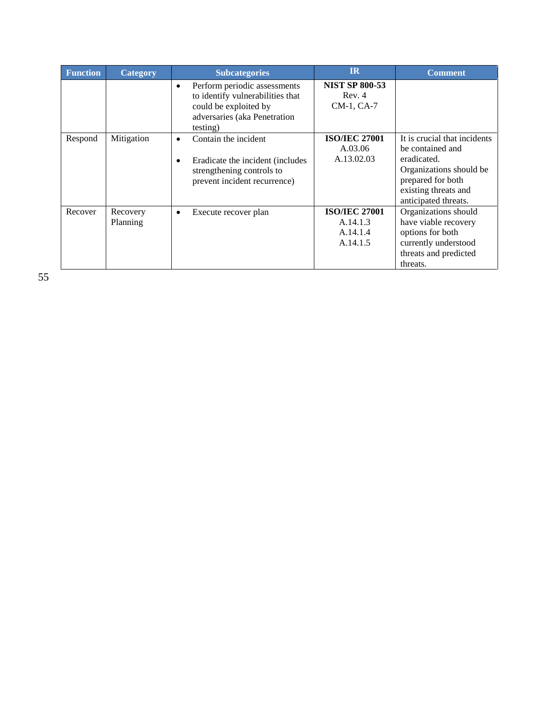| <b>Function</b> | <b>Category</b>      | <b>Subcategories</b>                                                                                                                       | $_{\rm IR}$                                              | <b>Comment</b>                                                                                                                                                  |
|-----------------|----------------------|--------------------------------------------------------------------------------------------------------------------------------------------|----------------------------------------------------------|-----------------------------------------------------------------------------------------------------------------------------------------------------------------|
|                 |                      | Perform periodic assessments<br>٠<br>to identify vulnerabilities that<br>could be exploited by<br>adversaries (aka Penetration<br>testing) | <b>NIST SP 800-53</b><br>Rev. 4<br>CM-1, CA-7            |                                                                                                                                                                 |
| Respond         | Mitigation           | Contain the incident<br>Eradicate the incident (includes)<br>٠<br>strengthening controls to<br>prevent incident recurrence)                | <b>ISO/IEC 27001</b><br>A.03.06<br>A.13.02.03            | It is crucial that incidents<br>be contained and<br>eradicated.<br>Organizations should be<br>prepared for both<br>existing threats and<br>anticipated threats. |
| Recover         | Recovery<br>Planning | Execute recover plan<br>٠                                                                                                                  | <b>ISO/IEC 27001</b><br>A.14.1.3<br>A.14.1.4<br>A.14.1.5 | Organizations should<br>have viable recovery<br>options for both<br>currently understood<br>threats and predicted<br>threats.                                   |

55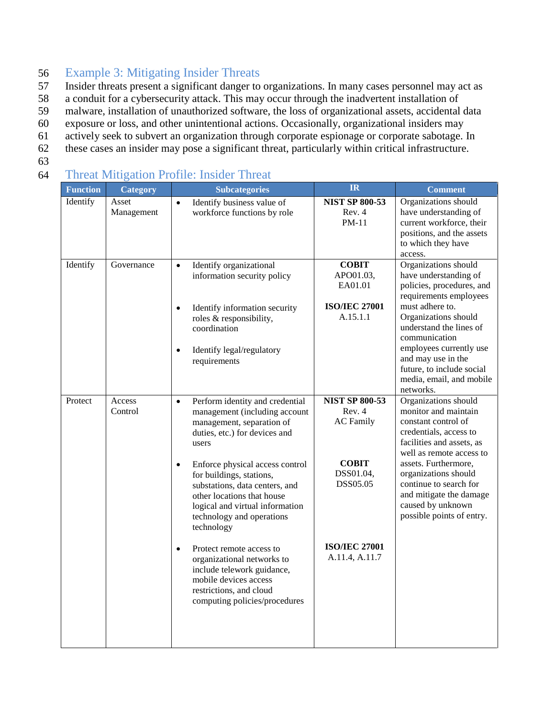## 56 Example 3: Mitigating Insider Threats

- 57 Insider threats present a significant danger to organizations. In many cases personnel may act as
- 58 a conduit for a cybersecurity attack. This may occur through the inadvertent installation of
- 59 malware, installation of unauthorized software, the loss of organizational assets, accidental data
- 60 exposure or loss, and other unintentional actions. Occasionally, organizational insiders may
- 61 actively seek to subvert an organization through corporate espionage or corporate sabotage. In
- 62 these cases an insider may pose a significant threat, particularly within critical infrastructure.
- 63

## 64 Threat Mitigation Profile: Insider Threat

| <b>Function</b> | <b>Category</b>     | <b>Subcategories</b>                                                                                                                                                                                                                                                                                                                                                                                                                                                                                                                                                     | IR                                                                                                                                     | <b>Comment</b>                                                                                                                                                                                                                                                                                                     |
|-----------------|---------------------|--------------------------------------------------------------------------------------------------------------------------------------------------------------------------------------------------------------------------------------------------------------------------------------------------------------------------------------------------------------------------------------------------------------------------------------------------------------------------------------------------------------------------------------------------------------------------|----------------------------------------------------------------------------------------------------------------------------------------|--------------------------------------------------------------------------------------------------------------------------------------------------------------------------------------------------------------------------------------------------------------------------------------------------------------------|
| Identify        | Asset<br>Management | Identify business value of<br>$\bullet$<br>workforce functions by role                                                                                                                                                                                                                                                                                                                                                                                                                                                                                                   | <b>NIST SP 800-53</b><br>Rev. 4<br>PM-11                                                                                               | Organizations should<br>have understanding of<br>current workforce, their<br>positions, and the assets<br>to which they have<br>access.                                                                                                                                                                            |
| Identify        | Governance          | Identify organizational<br>$\bullet$<br>information security policy<br>Identify information security<br>$\bullet$<br>roles & responsibility,<br>coordination<br>Identify legal/regulatory<br>$\bullet$<br>requirements                                                                                                                                                                                                                                                                                                                                                   | <b>COBIT</b><br>APO01.03,<br>EA01.01<br><b>ISO/IEC 27001</b><br>A.15.1.1                                                               | Organizations should<br>have understanding of<br>policies, procedures, and<br>requirements employees<br>must adhere to.<br>Organizations should<br>understand the lines of<br>communication<br>employees currently use<br>and may use in the<br>future, to include social<br>media, email, and mobile<br>networks. |
| Protect         | Access<br>Control   | Perform identity and credential<br>$\bullet$<br>management (including account<br>management, separation of<br>duties, etc.) for devices and<br>users<br>Enforce physical access control<br>$\bullet$<br>for buildings, stations,<br>substations, data centers, and<br>other locations that house<br>logical and virtual information<br>technology and operations<br>technology<br>Protect remote access to<br>$\bullet$<br>organizational networks to<br>include telework guidance,<br>mobile devices access<br>restrictions, and cloud<br>computing policies/procedures | <b>NIST SP 800-53</b><br>Rev. 4<br><b>AC</b> Family<br><b>COBIT</b><br>DSS01.04,<br>DSS05.05<br><b>ISO/IEC 27001</b><br>A.11.4, A.11.7 | Organizations should<br>monitor and maintain<br>constant control of<br>credentials, access to<br>facilities and assets, as<br>well as remote access to<br>assets. Furthermore,<br>organizations should<br>continue to search for<br>and mitigate the damage<br>caused by unknown<br>possible points of entry.      |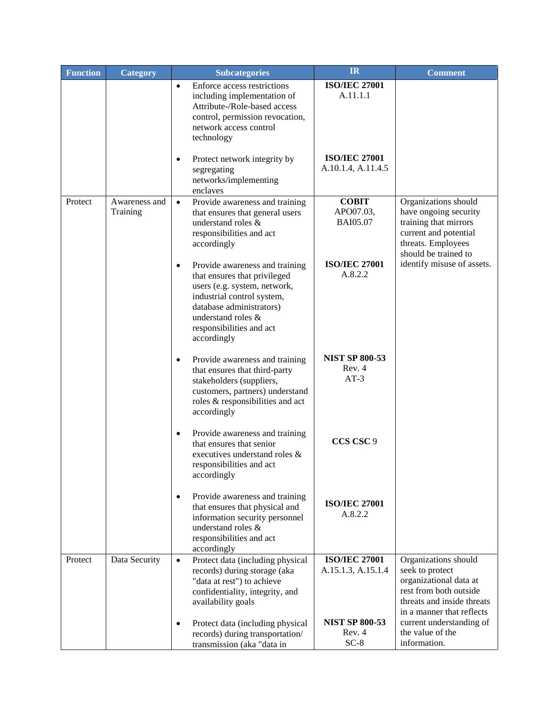| <b>Function</b> | <b>Category</b>           | <b>Subcategories</b>                                                                                                                                                                                                                   | <b>IR</b>                                  | <b>Comment</b>                                                                                                                                         |
|-----------------|---------------------------|----------------------------------------------------------------------------------------------------------------------------------------------------------------------------------------------------------------------------------------|--------------------------------------------|--------------------------------------------------------------------------------------------------------------------------------------------------------|
|                 |                           | Enforce access restrictions<br>$\bullet$<br>including implementation of<br>Attribute-/Role-based access<br>control, permission revocation,<br>network access control<br>technology                                                     | <b>ISO/IEC 27001</b><br>A.11.1.1           |                                                                                                                                                        |
|                 |                           | Protect network integrity by<br>$\bullet$<br>segregating<br>networks/implementing<br>enclaves                                                                                                                                          | <b>ISO/IEC 27001</b><br>A.10.1.4, A.11.4.5 |                                                                                                                                                        |
| Protect         | Awareness and<br>Training | Provide awareness and training<br>$\bullet$<br>that ensures that general users<br>understand roles &<br>responsibilities and act<br>accordingly                                                                                        | <b>COBIT</b><br>APO07.03,<br>BAI05.07      | Organizations should<br>have ongoing security<br>training that mirrors<br>current and potential<br>threats. Employees<br>should be trained to          |
|                 |                           | Provide awareness and training<br>$\bullet$<br>that ensures that privileged<br>users (e.g. system, network,<br>industrial control system,<br>database administrators)<br>understand roles &<br>responsibilities and act<br>accordingly | <b>ISO/IEC 27001</b><br>A.8.2.2            | identify misuse of assets.                                                                                                                             |
|                 |                           | Provide awareness and training<br>٠<br>that ensures that third-party<br>stakeholders (suppliers,<br>customers, partners) understand<br>roles & responsibilities and act<br>accordingly                                                 | <b>NIST SP 800-53</b><br>Rev. 4<br>$AT-3$  |                                                                                                                                                        |
|                 |                           | Provide awareness and training<br>٠<br>that ensures that senior<br>executives understand roles &<br>responsibilities and act<br>accordingly                                                                                            | CCS CSC 9                                  |                                                                                                                                                        |
|                 |                           | Provide awareness and training<br>$\bullet$<br>that ensures that physical and<br>information security personnel<br>understand roles &<br>responsibilities and act<br>accordingly                                                       | <b>ISO/IEC 27001</b><br>A.8.2.2            |                                                                                                                                                        |
| Protect         | Data Security             | Protect data (including physical<br>$\bullet$<br>records) during storage (aka<br>"data at rest") to achieve<br>confidentiality, integrity, and<br>availability goals                                                                   | <b>ISO/IEC 27001</b><br>A.15.1.3, A.15.1.4 | Organizations should<br>seek to protect<br>organizational data at<br>rest from both outside<br>threats and inside threats<br>in a manner that reflects |
|                 |                           | Protect data (including physical<br>٠<br>records) during transportation/<br>transmission (aka "data in                                                                                                                                 | <b>NIST SP 800-53</b><br>Rev. 4<br>$SC-8$  | current understanding of<br>the value of the<br>information.                                                                                           |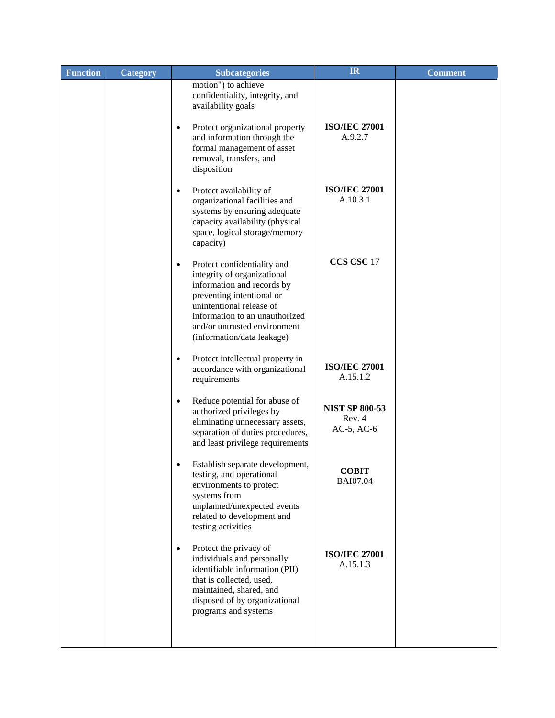| <b>Function</b> | <b>Category</b> | <b>Subcategories</b>                                                                                                                                                                                                                                           | <b>IR</b>                                          | <b>Comment</b> |
|-----------------|-----------------|----------------------------------------------------------------------------------------------------------------------------------------------------------------------------------------------------------------------------------------------------------------|----------------------------------------------------|----------------|
|                 |                 | motion") to achieve<br>confidentiality, integrity, and<br>availability goals                                                                                                                                                                                   |                                                    |                |
|                 |                 | Protect organizational property<br>$\bullet$<br>and information through the<br>formal management of asset<br>removal, transfers, and<br>disposition                                                                                                            | <b>ISO/IEC 27001</b><br>A.9.2.7                    |                |
|                 |                 | Protect availability of<br>$\bullet$<br>organizational facilities and<br>systems by ensuring adequate<br>capacity availability (physical<br>space, logical storage/memory<br>capacity)                                                                         | <b>ISO/IEC 27001</b><br>A.10.3.1                   |                |
|                 |                 | Protect confidentiality and<br>$\bullet$<br>integrity of organizational<br>information and records by<br>preventing intentional or<br>unintentional release of<br>information to an unauthorized<br>and/or untrusted environment<br>(information/data leakage) | CCS CSC 17                                         |                |
|                 |                 | Protect intellectual property in<br>$\bullet$<br>accordance with organizational<br>requirements                                                                                                                                                                | <b>ISO/IEC 27001</b><br>A.15.1.2                   |                |
|                 |                 | Reduce potential for abuse of<br>$\bullet$<br>authorized privileges by<br>eliminating unnecessary assets,<br>separation of duties procedures,<br>and least privilege requirements                                                                              | <b>NIST SP 800-53</b><br>Rev. 4<br>$AC-5$ , $AC-6$ |                |
|                 |                 | Establish separate development,<br>$\bullet$<br>testing, and operational<br>environments to protect<br>systems from<br>unplanned/unexpected events<br>related to development and<br>testing activities                                                         | <b>COBIT</b><br><b>BAI07.04</b>                    |                |
|                 |                 | Protect the privacy of<br>٠<br>individuals and personally<br>identifiable information (PII)<br>that is collected, used,<br>maintained, shared, and<br>disposed of by organizational<br>programs and systems                                                    | <b>ISO/IEC 27001</b><br>A.15.1.3                   |                |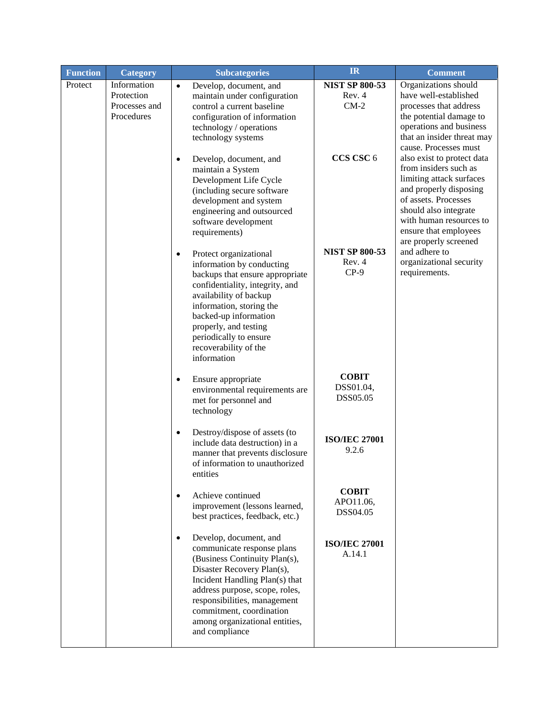| <b>Function</b> | <b>Category</b>             | <b>Subcategories</b>                                                                                                                                                                                                                                                                                                 | <b>IR</b>                                 | <b>Comment</b>                                                                                                                                                                                                                                                                                       |
|-----------------|-----------------------------|----------------------------------------------------------------------------------------------------------------------------------------------------------------------------------------------------------------------------------------------------------------------------------------------------------------------|-------------------------------------------|------------------------------------------------------------------------------------------------------------------------------------------------------------------------------------------------------------------------------------------------------------------------------------------------------|
| Protect         | Information<br>Protection   | Develop, document, and<br>$\bullet$<br>maintain under configuration                                                                                                                                                                                                                                                  | <b>NIST SP 800-53</b><br>Rev. 4           | Organizations should<br>have well-established                                                                                                                                                                                                                                                        |
|                 | Processes and<br>Procedures | control a current baseline<br>configuration of information<br>technology / operations<br>technology systems                                                                                                                                                                                                          | $CM-2$                                    | processes that address<br>the potential damage to<br>operations and business<br>that an insider threat may<br>cause. Processes must                                                                                                                                                                  |
|                 |                             | Develop, document, and<br>$\bullet$<br>maintain a System<br>Development Life Cycle<br>(including secure software<br>development and system<br>engineering and outsourced<br>software development<br>requirements)                                                                                                    | CCS CSC 6                                 | also exist to protect data<br>from insiders such as<br>limiting attack surfaces<br>and properly disposing<br>of assets. Processes<br>should also integrate<br>with human resources to<br>ensure that employees<br>are properly screened<br>and adhere to<br>organizational security<br>requirements. |
|                 |                             | Protect organizational<br>$\bullet$<br>information by conducting<br>backups that ensure appropriate<br>confidentiality, integrity, and<br>availability of backup<br>information, storing the<br>backed-up information<br>properly, and testing<br>periodically to ensure<br>recoverability of the<br>information     | <b>NIST SP 800-53</b><br>Rev. 4<br>$CP-9$ |                                                                                                                                                                                                                                                                                                      |
|                 |                             | Ensure appropriate<br>$\bullet$<br>environmental requirements are<br>met for personnel and<br>technology                                                                                                                                                                                                             | <b>COBIT</b><br>DSS01.04,<br>DSS05.05     |                                                                                                                                                                                                                                                                                                      |
|                 |                             | Destroy/dispose of assets (to<br>$\bullet$<br>include data destruction) in a<br>manner that prevents disclosure<br>of information to unauthorized<br>entities                                                                                                                                                        | <b>ISO/IEC 27001</b><br>9.2.6             |                                                                                                                                                                                                                                                                                                      |
|                 |                             | Achieve continued<br>$\bullet$<br>improvement (lessons learned,<br>best practices, feedback, etc.)                                                                                                                                                                                                                   | <b>COBIT</b><br>APO11.06,<br>DSS04.05     |                                                                                                                                                                                                                                                                                                      |
|                 |                             | Develop, document, and<br>$\bullet$<br>communicate response plans<br>(Business Continuity Plan(s),<br>Disaster Recovery Plan(s),<br>Incident Handling Plan(s) that<br>address purpose, scope, roles,<br>responsibilities, management<br>commitment, coordination<br>among organizational entities,<br>and compliance | <b>ISO/IEC 27001</b><br>A.14.1            |                                                                                                                                                                                                                                                                                                      |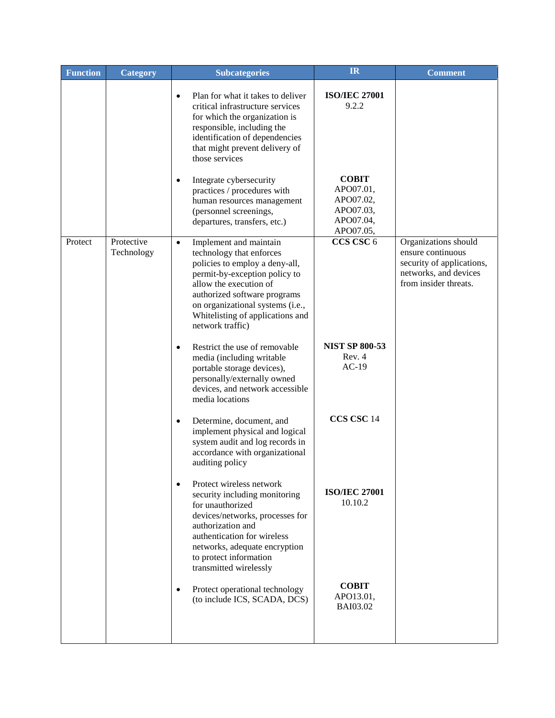| <b>Function</b> | <b>Category</b>          | <b>Subcategories</b>                                                                                                                                                                                                                                                                     | <b>IR</b>                                                                     | <b>Comment</b>                                                                                                           |
|-----------------|--------------------------|------------------------------------------------------------------------------------------------------------------------------------------------------------------------------------------------------------------------------------------------------------------------------------------|-------------------------------------------------------------------------------|--------------------------------------------------------------------------------------------------------------------------|
|                 |                          | Plan for what it takes to deliver<br>$\bullet$<br>critical infrastructure services<br>for which the organization is<br>responsible, including the<br>identification of dependencies<br>that might prevent delivery of<br>those services                                                  | <b>ISO/IEC 27001</b><br>9.2.2                                                 |                                                                                                                          |
|                 |                          | Integrate cybersecurity<br>$\bullet$<br>practices / procedures with<br>human resources management<br>(personnel screenings,<br>departures, transfers, etc.)                                                                                                                              | <b>COBIT</b><br>APO07.01,<br>APO07.02,<br>APO07.03,<br>APO07.04,<br>APO07.05, |                                                                                                                          |
| Protect         | Protective<br>Technology | Implement and maintain<br>$\bullet$<br>technology that enforces<br>policies to employ a deny-all,<br>permit-by-exception policy to<br>allow the execution of<br>authorized software programs<br>on organizational systems (i.e.,<br>Whitelisting of applications and<br>network traffic) | CCS CSC 6                                                                     | Organizations should<br>ensure continuous<br>security of applications,<br>networks, and devices<br>from insider threats. |
|                 |                          | Restrict the use of removable<br>$\bullet$<br>media (including writable<br>portable storage devices),<br>personally/externally owned<br>devices, and network accessible<br>media locations                                                                                               | <b>NIST SP 800-53</b><br>Rev. 4<br>$AC-19$                                    |                                                                                                                          |
|                 |                          | Determine, document, and<br>$\bullet$<br>implement physical and logical<br>system audit and log records in<br>accordance with organizational<br>auditing policy                                                                                                                          | CCS CSC 14                                                                    |                                                                                                                          |
|                 |                          | Protect wireless network<br>security including monitoring<br>for unauthorized<br>devices/networks, processes for<br>authorization and<br>authentication for wireless<br>networks, adequate encryption<br>to protect information<br>transmitted wirelessly                                | <b>ISO/IEC 27001</b><br>10.10.2                                               |                                                                                                                          |
|                 |                          | Protect operational technology<br>$\bullet$<br>(to include ICS, SCADA, DCS)                                                                                                                                                                                                              | <b>COBIT</b><br>APO13.01,<br><b>BAI03.02</b>                                  |                                                                                                                          |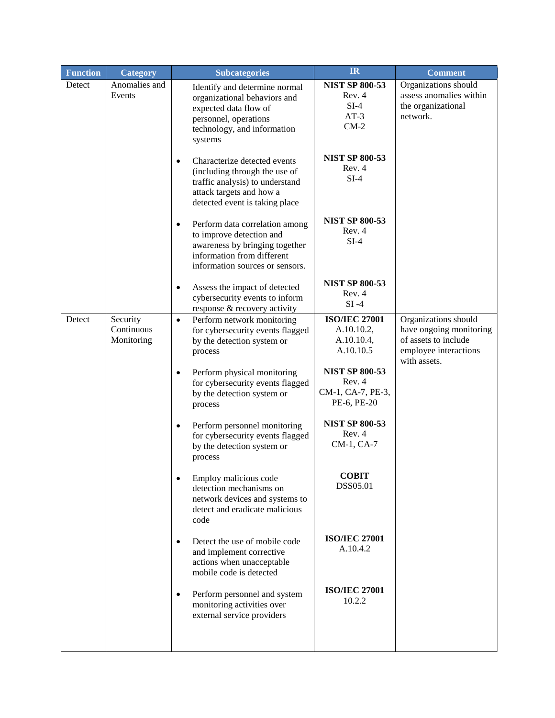| <b>Function</b> | <b>Category</b>                      | <b>Subcategories</b>                                                                                                                                                        | IR                                                                  | <b>Comment</b>                                                                                                   |
|-----------------|--------------------------------------|-----------------------------------------------------------------------------------------------------------------------------------------------------------------------------|---------------------------------------------------------------------|------------------------------------------------------------------------------------------------------------------|
| Detect          | Anomalies and<br>Events              | Identify and determine normal<br>organizational behaviors and<br>expected data flow of<br>personnel, operations<br>technology, and information<br>systems                   | <b>NIST SP 800-53</b><br>Rev. 4<br>$SI-4$<br>$AT-3$<br>$CM-2$       | Organizations should<br>assess anomalies within<br>the organizational<br>network.                                |
|                 |                                      | Characterize detected events<br>$\bullet$<br>(including through the use of<br>traffic analysis) to understand<br>attack targets and how a<br>detected event is taking place | <b>NIST SP 800-53</b><br>Rev. 4<br>$SI-4$                           |                                                                                                                  |
|                 |                                      | Perform data correlation among<br>$\bullet$<br>to improve detection and<br>awareness by bringing together<br>information from different<br>information sources or sensors.  | <b>NIST SP 800-53</b><br>Rev. 4<br>$SI-4$                           |                                                                                                                  |
|                 |                                      | Assess the impact of detected<br>$\bullet$<br>cybersecurity events to inform<br>response & recovery activity                                                                | <b>NIST SP 800-53</b><br>Rev. 4<br>$SI -4$                          |                                                                                                                  |
| Detect          | Security<br>Continuous<br>Monitoring | Perform network monitoring<br>$\bullet$<br>for cybersecurity events flagged<br>by the detection system or<br>process                                                        | <b>ISO/IEC 27001</b><br>A.10.10.2,<br>A.10.10.4,<br>A.10.10.5       | Organizations should<br>have ongoing monitoring<br>of assets to include<br>employee interactions<br>with assets. |
|                 |                                      | Perform physical monitoring<br>$\bullet$<br>for cybersecurity events flagged<br>by the detection system or<br>process                                                       | <b>NIST SP 800-53</b><br>Rev. 4<br>CM-1, CA-7, PE-3,<br>PE-6, PE-20 |                                                                                                                  |
|                 |                                      | Perform personnel monitoring<br>$\bullet$<br>for cybersecurity events flagged<br>by the detection system or<br>process                                                      | <b>NIST SP 800-53</b><br>Rev. 4<br>CM-1, CA-7                       |                                                                                                                  |
|                 |                                      | Employ malicious code<br>detection mechanisms on<br>network devices and systems to<br>detect and eradicate malicious<br>code                                                | <b>COBIT</b><br>DSS05.01                                            |                                                                                                                  |
|                 |                                      | Detect the use of mobile code<br>$\bullet$<br>and implement corrective<br>actions when unacceptable<br>mobile code is detected                                              | <b>ISO/IEC 27001</b><br>A.10.4.2                                    |                                                                                                                  |
|                 |                                      | Perform personnel and system<br>$\bullet$<br>monitoring activities over<br>external service providers                                                                       | <b>ISO/IEC 27001</b><br>10.2.2                                      |                                                                                                                  |
|                 |                                      |                                                                                                                                                                             |                                                                     |                                                                                                                  |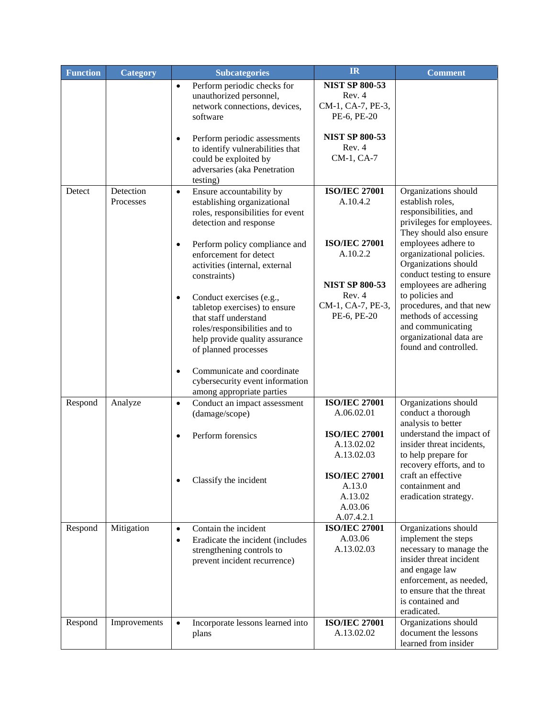| <b>Function</b> | <b>Category</b> | <b>Subcategories</b>                                        | IR                                 | <b>Comment</b>                                    |
|-----------------|-----------------|-------------------------------------------------------------|------------------------------------|---------------------------------------------------|
|                 |                 | Perform periodic checks for<br>$\bullet$                    | <b>NIST SP 800-53</b>              |                                                   |
|                 |                 | unauthorized personnel,                                     | Rev. 4                             |                                                   |
|                 |                 | network connections, devices,                               | CM-1, CA-7, PE-3,                  |                                                   |
|                 |                 | software                                                    | PE-6, PE-20                        |                                                   |
|                 |                 |                                                             |                                    |                                                   |
|                 |                 | Perform periodic assessments<br>$\bullet$                   | <b>NIST SP 800-53</b><br>Rev. 4    |                                                   |
|                 |                 | to identify vulnerabilities that<br>could be exploited by   | CM-1, CA-7                         |                                                   |
|                 |                 | adversaries (aka Penetration                                |                                    |                                                   |
|                 |                 | testing)                                                    |                                    |                                                   |
| Detect          | Detection       | Ensure accountability by<br>$\bullet$                       | <b>ISO/IEC 27001</b>               | Organizations should                              |
|                 | Processes       | establishing organizational                                 | A.10.4.2                           | establish roles,                                  |
|                 |                 | roles, responsibilities for event                           |                                    | responsibilities, and                             |
|                 |                 | detection and response                                      |                                    | privileges for employees.                         |
|                 |                 |                                                             |                                    | They should also ensure                           |
|                 |                 | Perform policy compliance and<br>$\bullet$                  | <b>ISO/IEC 27001</b>               | employees adhere to                               |
|                 |                 | enforcement for detect                                      | A.10.2.2                           | organizational policies.                          |
|                 |                 | activities (internal, external                              |                                    | Organizations should<br>conduct testing to ensure |
|                 |                 | constraints)                                                | <b>NIST SP 800-53</b>              | employees are adhering                            |
|                 |                 | Conduct exercises (e.g.,<br>$\bullet$                       | Rev. 4                             | to policies and                                   |
|                 |                 | tabletop exercises) to ensure                               | CM-1, CA-7, PE-3,                  | procedures, and that new                          |
|                 |                 | that staff understand                                       | PE-6, PE-20                        | methods of accessing                              |
|                 |                 | roles/responsibilities and to                               |                                    | and communicating                                 |
|                 |                 | help provide quality assurance                              |                                    | organizational data are                           |
|                 |                 | of planned processes                                        |                                    | found and controlled.                             |
|                 |                 |                                                             |                                    |                                                   |
|                 |                 | Communicate and coordinate<br>$\bullet$                     |                                    |                                                   |
|                 |                 | cybersecurity event information                             |                                    |                                                   |
|                 |                 | among appropriate parties                                   | <b>ISO/IEC 27001</b>               | Organizations should                              |
| Respond         | Analyze         | Conduct an impact assessment<br>$\bullet$<br>(damage/scope) | A.06.02.01                         | conduct a thorough                                |
|                 |                 |                                                             |                                    | analysis to better                                |
|                 |                 | Perform forensics<br>$\bullet$                              | <b>ISO/IEC 27001</b>               | understand the impact of                          |
|                 |                 |                                                             | A.13.02.02                         | insider threat incidents,                         |
|                 |                 |                                                             | A.13.02.03                         | to help prepare for                               |
|                 |                 |                                                             |                                    | recovery efforts, and to                          |
|                 |                 | Classify the incident                                       | <b>ISO/IEC 27001</b>               | craft an effective                                |
|                 |                 |                                                             | A.13.0                             | containment and                                   |
|                 |                 |                                                             | A.13.02                            | eradication strategy.                             |
|                 |                 |                                                             | A.03.06                            |                                                   |
| Respond         | Mitigation      | Contain the incident<br>$\bullet$                           | A.07.4.2.1<br><b>ISO/IEC 27001</b> | Organizations should                              |
|                 |                 | Eradicate the incident (includes<br>$\bullet$               | A.03.06                            | implement the steps                               |
|                 |                 | strengthening controls to                                   | A.13.02.03                         | necessary to manage the                           |
|                 |                 | prevent incident recurrence)                                |                                    | insider threat incident                           |
|                 |                 |                                                             |                                    | and engage law                                    |
|                 |                 |                                                             |                                    | enforcement, as needed,                           |
|                 |                 |                                                             |                                    | to ensure that the threat                         |
|                 |                 |                                                             |                                    | is contained and                                  |
|                 |                 |                                                             |                                    | eradicated.                                       |
| Respond         | Improvements    | Incorporate lessons learned into<br>$\bullet$               | <b>ISO/IEC 27001</b>               | Organizations should<br>document the lessons      |
|                 |                 | plans                                                       | A.13.02.02                         | learned from insider                              |
|                 |                 |                                                             |                                    |                                                   |